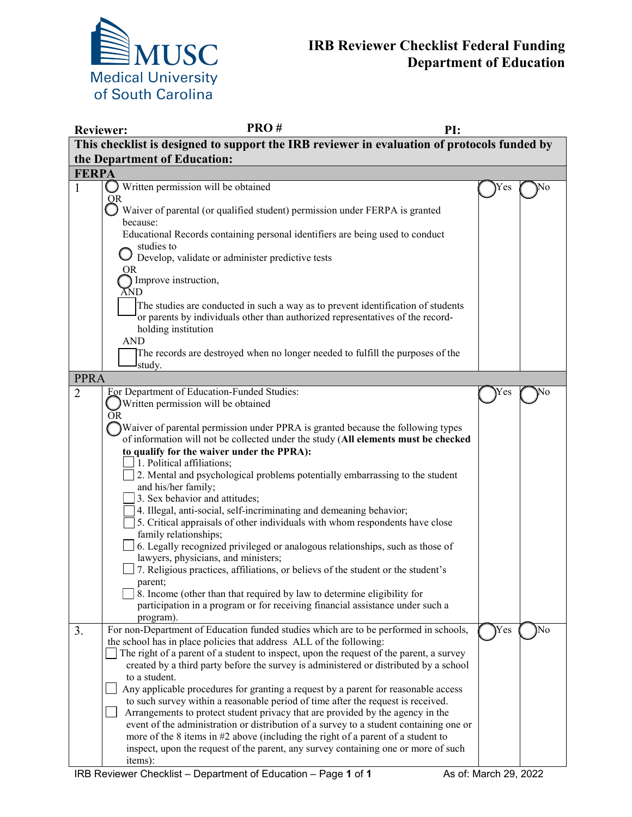

|                                                                                             | PRO#<br><b>Reviewer:</b><br>PI:                                                                                                                                                  |      |    |
|---------------------------------------------------------------------------------------------|----------------------------------------------------------------------------------------------------------------------------------------------------------------------------------|------|----|
| This checklist is designed to support the IRB reviewer in evaluation of protocols funded by |                                                                                                                                                                                  |      |    |
|                                                                                             | the Department of Education:                                                                                                                                                     |      |    |
| <b>FERPA</b>                                                                                |                                                                                                                                                                                  |      |    |
| $\mathbf{1}$                                                                                | $\bigcirc$ Written permission will be obtained                                                                                                                                   | Y es | No |
|                                                                                             | OR<br>Waiver of parental (or qualified student) permission under FERPA is granted                                                                                                |      |    |
|                                                                                             | because:                                                                                                                                                                         |      |    |
|                                                                                             | Educational Records containing personal identifiers are being used to conduct<br>studies to                                                                                      |      |    |
|                                                                                             | Develop, validate or administer predictive tests                                                                                                                                 |      |    |
|                                                                                             | OR                                                                                                                                                                               |      |    |
|                                                                                             | Improve instruction,                                                                                                                                                             |      |    |
|                                                                                             | ĂND                                                                                                                                                                              |      |    |
|                                                                                             | The studies are conducted in such a way as to prevent identification of students                                                                                                 |      |    |
|                                                                                             | or parents by individuals other than authorized representatives of the record-<br>holding institution                                                                            |      |    |
|                                                                                             | <b>AND</b>                                                                                                                                                                       |      |    |
|                                                                                             | The records are destroyed when no longer needed to fulfill the purposes of the                                                                                                   |      |    |
|                                                                                             | study.                                                                                                                                                                           |      |    |
| <b>PPRA</b>                                                                                 |                                                                                                                                                                                  |      |    |
| $\overline{2}$                                                                              | <b>For Department of Education-Funded Studies:</b>                                                                                                                               | Y es | No |
|                                                                                             | Written permission will be obtained                                                                                                                                              |      |    |
|                                                                                             | <b>OR</b>                                                                                                                                                                        |      |    |
|                                                                                             | Waiver of parental permission under PPRA is granted because the following types                                                                                                  |      |    |
|                                                                                             | of information will not be collected under the study (All elements must be checked<br>to qualify for the waiver under the PPRA):                                                 |      |    |
|                                                                                             | 1. Political affiliations;                                                                                                                                                       |      |    |
|                                                                                             | 2. Mental and psychological problems potentially embarrassing to the student                                                                                                     |      |    |
|                                                                                             | and his/her family;                                                                                                                                                              |      |    |
|                                                                                             | 3. Sex behavior and attitudes;                                                                                                                                                   |      |    |
|                                                                                             | 4. Illegal, anti-social, self-incriminating and demeaning behavior;                                                                                                              |      |    |
|                                                                                             | 5. Critical appraisals of other individuals with whom respondents have close                                                                                                     |      |    |
|                                                                                             | family relationships;                                                                                                                                                            |      |    |
|                                                                                             | 6. Legally recognized privileged or analogous relationships, such as those of<br>lawyers, physicians, and ministers;                                                             |      |    |
|                                                                                             | 7. Religious practices, affiliations, or believs of the student or the student's                                                                                                 |      |    |
|                                                                                             | parent;                                                                                                                                                                          |      |    |
|                                                                                             | 8. Income (other than that required by law to determine eligibility for                                                                                                          |      |    |
|                                                                                             | participation in a program or for receiving financial assistance under such a                                                                                                    |      |    |
|                                                                                             | program).                                                                                                                                                                        |      |    |
| 3.                                                                                          | For non-Department of Education funded studies which are to be performed in schools,                                                                                             | Yes  | No |
|                                                                                             | the school has in place policies that address ALL of the following:                                                                                                              |      |    |
|                                                                                             | The right of a parent of a student to inspect, upon the request of the parent, a survey<br>created by a third party before the survey is administered or distributed by a school |      |    |
|                                                                                             | to a student.                                                                                                                                                                    |      |    |
|                                                                                             | Any applicable procedures for granting a request by a parent for reasonable access                                                                                               |      |    |
|                                                                                             | to such survey within a reasonable period of time after the request is received.                                                                                                 |      |    |
|                                                                                             | Arrangements to protect student privacy that are provided by the agency in the                                                                                                   |      |    |
|                                                                                             | event of the administration or distribution of a survey to a student containing one or                                                                                           |      |    |
|                                                                                             | more of the 8 items in #2 above (including the right of a parent of a student to                                                                                                 |      |    |
|                                                                                             | inspect, upon the request of the parent, any survey containing one or more of such                                                                                               |      |    |
|                                                                                             | items):                                                                                                                                                                          |      |    |